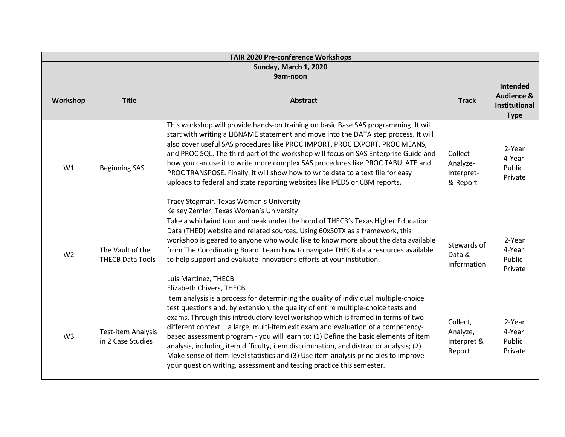| <b>TAIR 2020 Pre-conference Workshops</b> |                                                |                                                                                                                                                                                                                                                                                                                                                                                                                                                                                                                                                                                                                                                                                                    |                                                |                                                              |
|-------------------------------------------|------------------------------------------------|----------------------------------------------------------------------------------------------------------------------------------------------------------------------------------------------------------------------------------------------------------------------------------------------------------------------------------------------------------------------------------------------------------------------------------------------------------------------------------------------------------------------------------------------------------------------------------------------------------------------------------------------------------------------------------------------------|------------------------------------------------|--------------------------------------------------------------|
| Sunday, March 1, 2020                     |                                                |                                                                                                                                                                                                                                                                                                                                                                                                                                                                                                                                                                                                                                                                                                    |                                                |                                                              |
|                                           |                                                | 9am-noon                                                                                                                                                                                                                                                                                                                                                                                                                                                                                                                                                                                                                                                                                           |                                                | Intended                                                     |
| Workshop                                  | <b>Title</b>                                   | <b>Abstract</b>                                                                                                                                                                                                                                                                                                                                                                                                                                                                                                                                                                                                                                                                                    | <b>Track</b>                                   | <b>Audience &amp;</b><br><b>Institutional</b><br><b>Type</b> |
| W1                                        | <b>Beginning SAS</b>                           | This workshop will provide hands-on training on basic Base SAS programming. It will<br>start with writing a LIBNAME statement and move into the DATA step process. It will<br>also cover useful SAS procedures like PROC IMPORT, PROC EXPORT, PROC MEANS,<br>and PROC SQL. The third part of the workshop will focus on SAS Enterprise Guide and<br>how you can use it to write more complex SAS procedures like PROC TABULATE and<br>PROC TRANSPOSE. Finally, it will show how to write data to a text file for easy<br>uploads to federal and state reporting websites like IPEDS or CBM reports.                                                                                                | Collect-<br>Analyze-<br>Interpret-<br>&-Report | 2-Year<br>4-Year<br>Public<br>Private                        |
|                                           |                                                | Tracy Stegmair. Texas Woman's University<br>Kelsey Zemler, Texas Woman's University                                                                                                                                                                                                                                                                                                                                                                                                                                                                                                                                                                                                                |                                                |                                                              |
| W <sub>2</sub>                            | The Vault of the<br><b>THECB Data Tools</b>    | Take a whirlwind tour and peak under the hood of THECB's Texas Higher Education<br>Data (THED) website and related sources. Using 60x30TX as a framework, this<br>workshop is geared to anyone who would like to know more about the data available<br>from The Coordinating Board. Learn how to navigate THECB data resources available<br>to help support and evaluate innovations efforts at your institution.<br>Luis Martinez, THECB<br>Elizabeth Chivers, THECB                                                                                                                                                                                                                              | Stewards of<br>Data &<br>Information           | 2-Year<br>4-Year<br>Public<br>Private                        |
| W <sub>3</sub>                            | <b>Test-item Analysis</b><br>in 2 Case Studies | Item analysis is a process for determining the quality of individual multiple-choice<br>test questions and, by extension, the quality of entire multiple-choice tests and<br>exams. Through this introductory-level workshop which is framed in terms of two<br>different context - a large, multi-item exit exam and evaluation of a competency-<br>based assessment program - you will learn to: (1) Define the basic elements of item<br>analysis, including item difficulty, item discrimination, and distractor analysis; (2)<br>Make sense of item-level statistics and (3) Use item analysis principles to improve<br>your question writing, assessment and testing practice this semester. | Collect,<br>Analyze,<br>Interpret &<br>Report  | 2-Year<br>4-Year<br>Public<br>Private                        |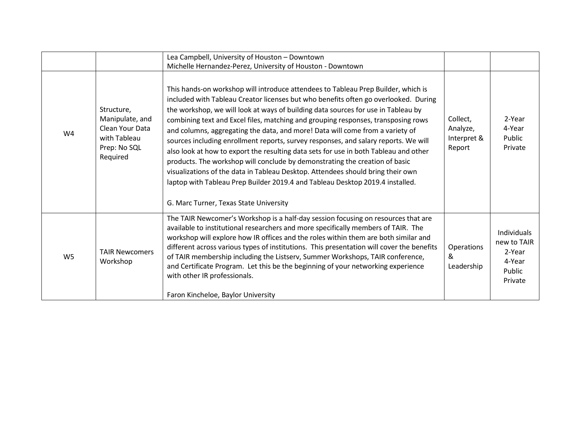|                |                                                                                              | Lea Campbell, University of Houston - Downtown<br>Michelle Hernandez-Perez, University of Houston - Downtown                                                                                                                                                                                                                                                                                                                                                                                                                                                                                                                                                                                                                                                                                                                                                                                                    |                                               |                                                                     |
|----------------|----------------------------------------------------------------------------------------------|-----------------------------------------------------------------------------------------------------------------------------------------------------------------------------------------------------------------------------------------------------------------------------------------------------------------------------------------------------------------------------------------------------------------------------------------------------------------------------------------------------------------------------------------------------------------------------------------------------------------------------------------------------------------------------------------------------------------------------------------------------------------------------------------------------------------------------------------------------------------------------------------------------------------|-----------------------------------------------|---------------------------------------------------------------------|
| W4             | Structure,<br>Manipulate, and<br>Clean Your Data<br>with Tableau<br>Prep: No SQL<br>Required | This hands-on workshop will introduce attendees to Tableau Prep Builder, which is<br>included with Tableau Creator licenses but who benefits often go overlooked. During<br>the workshop, we will look at ways of building data sources for use in Tableau by<br>combining text and Excel files, matching and grouping responses, transposing rows<br>and columns, aggregating the data, and more! Data will come from a variety of<br>sources including enrollment reports, survey responses, and salary reports. We will<br>also look at how to export the resulting data sets for use in both Tableau and other<br>products. The workshop will conclude by demonstrating the creation of basic<br>visualizations of the data in Tableau Desktop. Attendees should bring their own<br>laptop with Tableau Prep Builder 2019.4 and Tableau Desktop 2019.4 installed.<br>G. Marc Turner, Texas State University | Collect,<br>Analyze,<br>Interpret &<br>Report | 2-Year<br>4-Year<br>Public<br>Private                               |
| W <sub>5</sub> | <b>TAIR Newcomers</b><br>Workshop                                                            | The TAIR Newcomer's Workshop is a half-day session focusing on resources that are<br>available to institutional researchers and more specifically members of TAIR. The<br>workshop will explore how IR offices and the roles within them are both similar and<br>different across various types of institutions. This presentation will cover the benefits<br>of TAIR membership including the Listserv, Summer Workshops, TAIR conference,<br>and Certificate Program. Let this be the beginning of your networking experience<br>with other IR professionals.<br>Faron Kincheloe, Baylor University                                                                                                                                                                                                                                                                                                           | Operations<br>&<br>Leadership                 | Individuals<br>new to TAIR<br>2-Year<br>4-Year<br>Public<br>Private |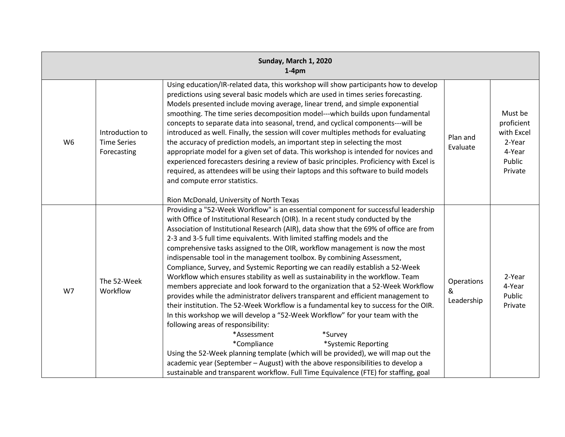| Sunday, March 1, 2020<br>$1-4pm$ |                                                      |                                                                                                                                                                                                                                                                                                                                                                                                                                                                                                                                                                                                                                                                                                                                                                                                                                                                                                                                                                                                                                                                                                                                                                                                                                                                                                                                                                                                 |                               |                                                                              |
|----------------------------------|------------------------------------------------------|-------------------------------------------------------------------------------------------------------------------------------------------------------------------------------------------------------------------------------------------------------------------------------------------------------------------------------------------------------------------------------------------------------------------------------------------------------------------------------------------------------------------------------------------------------------------------------------------------------------------------------------------------------------------------------------------------------------------------------------------------------------------------------------------------------------------------------------------------------------------------------------------------------------------------------------------------------------------------------------------------------------------------------------------------------------------------------------------------------------------------------------------------------------------------------------------------------------------------------------------------------------------------------------------------------------------------------------------------------------------------------------------------|-------------------------------|------------------------------------------------------------------------------|
| W <sub>6</sub>                   | Introduction to<br><b>Time Series</b><br>Forecasting | Using education/IR-related data, this workshop will show participants how to develop<br>predictions using several basic models which are used in times series forecasting.<br>Models presented include moving average, linear trend, and simple exponential<br>smoothing. The time series decomposition model---which builds upon fundamental<br>concepts to separate data into seasonal, trend, and cyclical components---will be<br>introduced as well. Finally, the session will cover multiples methods for evaluating<br>the accuracy of prediction models, an important step in selecting the most<br>appropriate model for a given set of data. This workshop is intended for novices and<br>experienced forecasters desiring a review of basic principles. Proficiency with Excel is<br>required, as attendees will be using their laptops and this software to build models<br>and compute error statistics.<br>Rion McDonald, University of North Texas                                                                                                                                                                                                                                                                                                                                                                                                                               | Plan and<br>Evaluate          | Must be<br>proficient<br>with Excel<br>2-Year<br>4-Year<br>Public<br>Private |
| W7                               | The 52-Week<br>Workflow                              | Providing a "52-Week Workflow" is an essential component for successful leadership<br>with Office of Institutional Research (OIR). In a recent study conducted by the<br>Association of Institutional Research (AIR), data show that the 69% of office are from<br>2-3 and 3-5 full time equivalents. With limited staffing models and the<br>comprehensive tasks assigned to the OIR, workflow management is now the most<br>indispensable tool in the management toolbox. By combining Assessment,<br>Compliance, Survey, and Systemic Reporting we can readily establish a 52-Week<br>Workflow which ensures stability as well as sustainability in the workflow. Team<br>members appreciate and look forward to the organization that a 52-Week Workflow<br>provides while the administrator delivers transparent and efficient management to<br>their institution. The 52-Week Workflow is a fundamental key to success for the OIR.<br>In this workshop we will develop a "52-Week Workflow" for your team with the<br>following areas of responsibility:<br>*Assessment<br>*Survey<br>*Compliance<br>*Systemic Reporting<br>Using the 52-Week planning template (which will be provided), we will map out the<br>academic year (September - August) with the above responsibilities to develop a<br>sustainable and transparent workflow. Full Time Equivalence (FTE) for staffing, goal | Operations<br>&<br>Leadership | 2-Year<br>4-Year<br>Public<br>Private                                        |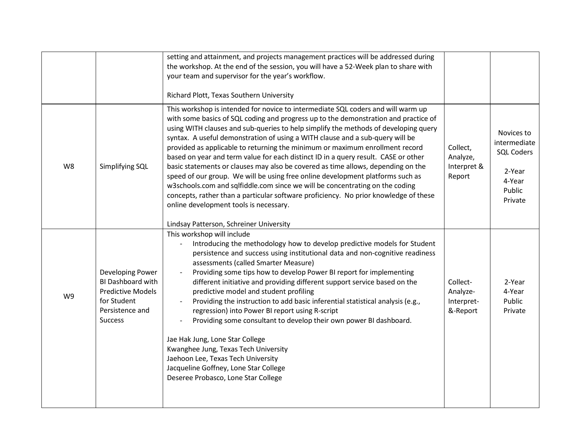|    |                                                                                                                       | setting and attainment, and projects management practices will be addressed during<br>the workshop. At the end of the session, you will have a 52-Week plan to share with<br>your team and supervisor for the year's workflow.                                                                                                                                                                                                                                                                                                                                                                                                                                                                                                                                                                                                                                                                                                                                                                       |                                                |                                                                                          |
|----|-----------------------------------------------------------------------------------------------------------------------|------------------------------------------------------------------------------------------------------------------------------------------------------------------------------------------------------------------------------------------------------------------------------------------------------------------------------------------------------------------------------------------------------------------------------------------------------------------------------------------------------------------------------------------------------------------------------------------------------------------------------------------------------------------------------------------------------------------------------------------------------------------------------------------------------------------------------------------------------------------------------------------------------------------------------------------------------------------------------------------------------|------------------------------------------------|------------------------------------------------------------------------------------------|
| W8 | Simplifying SQL                                                                                                       | Richard Plott, Texas Southern University<br>This workshop is intended for novice to intermediate SQL coders and will warm up<br>with some basics of SQL coding and progress up to the demonstration and practice of<br>using WITH clauses and sub-queries to help simplify the methods of developing query<br>syntax. A useful demonstration of using a WITH clause and a sub-query will be<br>provided as applicable to returning the minimum or maximum enrollment record<br>based on year and term value for each distinct ID in a query result. CASE or other<br>basic statements or clauses may also be covered as time allows, depending on the<br>speed of our group. We will be using free online development platforms such as<br>w3schools.com and sqlfiddle.com since we will be concentrating on the coding<br>concepts, rather than a particular software proficiency. No prior knowledge of these<br>online development tools is necessary.<br>Lindsay Patterson, Schreiner University | Collect,<br>Analyze,<br>Interpret &<br>Report  | Novices to<br>intermediate<br><b>SQL Coders</b><br>2-Year<br>4-Year<br>Public<br>Private |
| W9 | Developing Power<br>BI Dashboard with<br><b>Predictive Models</b><br>for Student<br>Persistence and<br><b>Success</b> | This workshop will include<br>Introducing the methodology how to develop predictive models for Student<br>persistence and success using institutional data and non-cognitive readiness<br>assessments (called Smarter Measure)<br>Providing some tips how to develop Power BI report for implementing<br>different initiative and providing different support service based on the<br>predictive model and student profiling<br>Providing the instruction to add basic inferential statistical analysis (e.g.,<br>regression) into Power BI report using R-script<br>Providing some consultant to develop their own power BI dashboard.<br>Jae Hak Jung, Lone Star College<br>Kwanghee Jung, Texas Tech University<br>Jaehoon Lee, Texas Tech University<br>Jacqueline Goffney, Lone Star College<br>Deseree Probasco, Lone Star College                                                                                                                                                             | Collect-<br>Analyze-<br>Interpret-<br>&-Report | 2-Year<br>4-Year<br>Public<br>Private                                                    |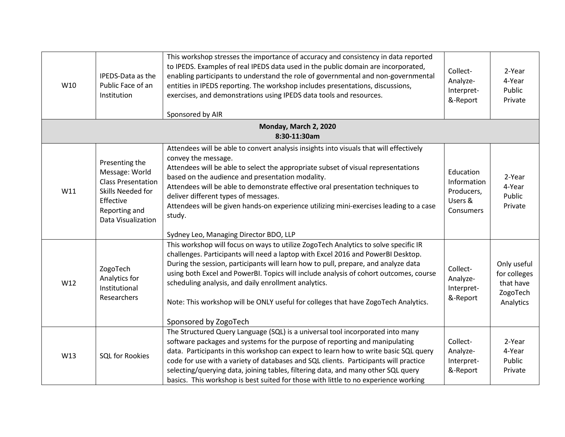| W10 | IPEDS-Data as the<br>Public Face of an<br>Institution                                                                                  | This workshop stresses the importance of accuracy and consistency in data reported<br>to IPEDS. Examples of real IPEDS data used in the public domain are incorporated,<br>enabling participants to understand the role of governmental and non-governmental<br>entities in IPEDS reporting. The workshop includes presentations, discussions,<br>exercises, and demonstrations using IPEDS data tools and resources.<br>Sponsored by AIR                                                                                       | Collect-<br>Analyze-<br>Interpret-<br>&-Report                 | 2-Year<br>4-Year<br>Public<br>Private                             |
|-----|----------------------------------------------------------------------------------------------------------------------------------------|---------------------------------------------------------------------------------------------------------------------------------------------------------------------------------------------------------------------------------------------------------------------------------------------------------------------------------------------------------------------------------------------------------------------------------------------------------------------------------------------------------------------------------|----------------------------------------------------------------|-------------------------------------------------------------------|
|     |                                                                                                                                        | Monday, March 2, 2020<br>8:30-11:30am                                                                                                                                                                                                                                                                                                                                                                                                                                                                                           |                                                                |                                                                   |
| W11 | Presenting the<br>Message: World<br><b>Class Presentation</b><br>Skills Needed for<br>Effective<br>Reporting and<br>Data Visualization | Attendees will be able to convert analysis insights into visuals that will effectively<br>convey the message.<br>Attendees will be able to select the appropriate subset of visual representations<br>based on the audience and presentation modality.<br>Attendees will be able to demonstrate effective oral presentation techniques to<br>deliver different types of messages.<br>Attendees will be given hands-on experience utilizing mini-exercises leading to a case<br>study.<br>Sydney Leo, Managing Director BDO, LLP | Education<br>Information<br>Producers,<br>Users &<br>Consumers | 2-Year<br>4-Year<br>Public<br>Private                             |
| W12 | ZogoTech<br>Analytics for<br>Institutional<br>Researchers                                                                              | This workshop will focus on ways to utilize ZogoTech Analytics to solve specific IR<br>challenges. Participants will need a laptop with Excel 2016 and PowerBI Desktop.<br>During the session, participants will learn how to pull, prepare, and analyze data<br>using both Excel and PowerBI. Topics will include analysis of cohort outcomes, course<br>scheduling analysis, and daily enrollment analytics.<br>Note: This workshop will be ONLY useful for colleges that have ZogoTech Analytics.<br>Sponsored by ZogoTech   | Collect-<br>Analyze-<br>Interpret-<br>&-Report                 | Only useful<br>for colleges<br>that have<br>ZogoTech<br>Analytics |
| W13 | SQL for Rookies                                                                                                                        | The Structured Query Language (SQL) is a universal tool incorporated into many<br>software packages and systems for the purpose of reporting and manipulating<br>data. Participants in this workshop can expect to learn how to write basic SQL query<br>code for use with a variety of databases and SQL clients. Participants will practice<br>selecting/querying data, joining tables, filtering data, and many other SQL query<br>basics. This workshop is best suited for those with little to no experience working       | Collect-<br>Analyze-<br>Interpret-<br>&-Report                 | 2-Year<br>4-Year<br>Public<br>Private                             |